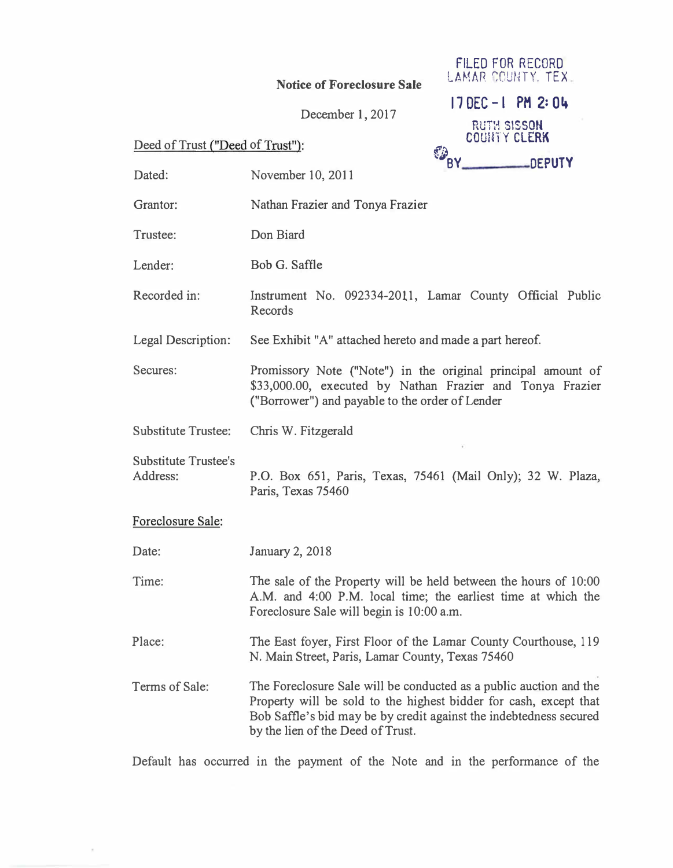## Notice of Foreclosure Sale

|                                  | December 1, 2017  |                                           | $170EC - 1$ PM 2:04 |
|----------------------------------|-------------------|-------------------------------------------|---------------------|
|                                  |                   | <b>RUTH SISSON</b><br><b>COUNTY CLERK</b> |                     |
| Deed of Trust ("Deed of Trust"): |                   | <b>EDRY</b><br>DEPUTY                     |                     |
| Dated:                           | November 10, 2011 |                                           |                     |

FILED FOR RECORD LA�1AR r:CUIHY. TEX

| Dated:                                  | November 10, 2011                                                                                                                                                                                                                                  |  |
|-----------------------------------------|----------------------------------------------------------------------------------------------------------------------------------------------------------------------------------------------------------------------------------------------------|--|
| Grantor:                                | Nathan Frazier and Tonya Frazier                                                                                                                                                                                                                   |  |
| Trustee:                                | Don Biard                                                                                                                                                                                                                                          |  |
| Lender:                                 | Bob G. Saffle                                                                                                                                                                                                                                      |  |
| Recorded in:                            | Instrument No. 092334-2011, Lamar County Official Public<br><b>Records</b>                                                                                                                                                                         |  |
| Legal Description:                      | See Exhibit "A" attached hereto and made a part hereof.                                                                                                                                                                                            |  |
| Secures:                                | Promissory Note ("Note") in the original principal amount of<br>\$33,000.00, executed by Nathan Frazier and Tonya Frazier<br>("Borrower") and payable to the order of Lender                                                                       |  |
| <b>Substitute Trustee:</b>              | Chris W. Fitzgerald                                                                                                                                                                                                                                |  |
| <b>Substitute Trustee's</b><br>Address: | P.O. Box 651, Paris, Texas, 75461 (Mail Only); 32 W. Plaza,<br>Paris, Texas 75460                                                                                                                                                                  |  |
| Foreclosure Sale:                       |                                                                                                                                                                                                                                                    |  |
| Date:                                   | January 2, 2018                                                                                                                                                                                                                                    |  |
| Time:                                   | The sale of the Property will be held between the hours of 10:00<br>A.M. and 4:00 P.M. local time; the earliest time at which the<br>Foreclosure Sale will begin is 10:00 a.m.                                                                     |  |
| Place:                                  | The East foyer, First Floor of the Lamar County Courthouse, 119<br>N. Main Street, Paris, Lamar County, Texas 75460                                                                                                                                |  |
| Terms of Sale:                          | The Foreclosure Sale will be conducted as a public auction and the<br>Property will be sold to the highest bidder for cash, except that<br>Bob Saffle's bid may be by credit against the indebtedness secured<br>by the lien of the Deed of Trust. |  |

Default has occurred in the payment of the Note and in the performance of the

 $\bar{\pi}$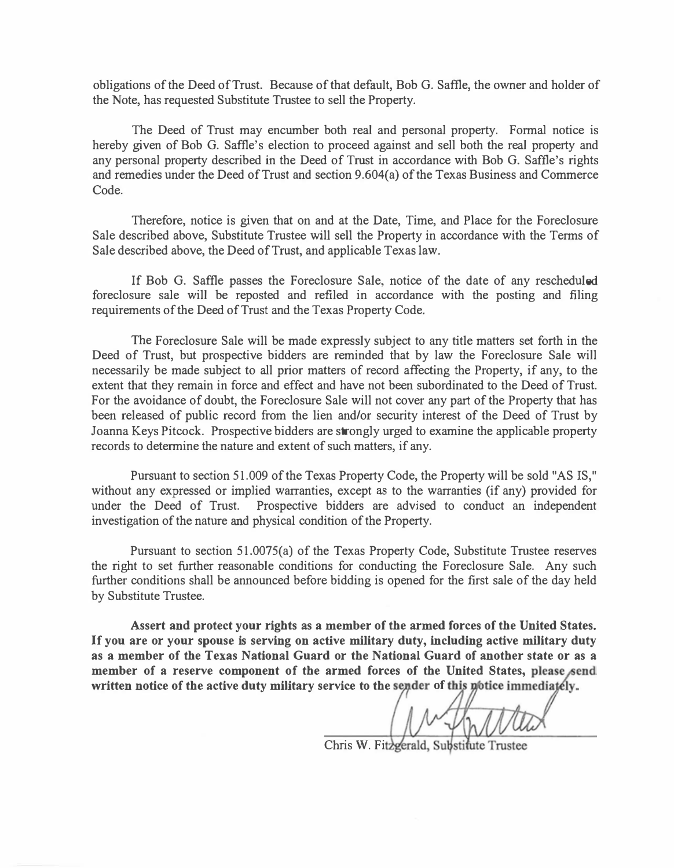obligations of the Deed of Trust. Because of that default, Bob G. Saffle, the owner and holder of the Note, has requested Substitute Trustee to sell the Property.

The Deed of Trust may encumber both real and personal property. Formal notice is hereby given of Bob G. Saffle's election to proceed against and sell both the real property and any personal property described in the Deed of Trust in accordance with Bob G. Saffle's rights and remedies under the Deed of Trust and section 9.604(a) of the Texas Business and Commerce Code.

Therefore, notice is given that on and at the Date, Time, and Place for the Foreclosure Sale described above, Substitute Trustee will sell the Property in accordance with the Terms of Sale described above, the Deed of Trust, and applicable Texas law.

If Bob G. Saffle passes the Foreclosure Sale, notice of the date of any rescheduled foreclosure sale will be reposted and refiled in accordance with the posting and filing requirements of the Deed of Trust and the Texas Property Code.

The Foreclosure Sale will be made expressly subject to any title matters set forth in the Deed of Trust, but prospective bidders are reminded that by law the Foreclosure Sale will necessarily be made subject to all prior matters of record affecting the Property, if any, to the extent that they remain in force and effect and have not been subordinated to the Deed of Trust. For the avoidance of doubt, the Foreclosure Sale will not cover any part of the Property that has been released of public record from the lien and/or security interest of the Deed of Trust by Joanna Keys Pitcock. Prospective bidders are strongly urged to examine the applicable property records to determine the nature and extent of such matters, if any.

Pursuant to section 51.009 of the Texas Property Code, the Property will be sold "AS IS," without any expressed or implied warranties, except as to the warranties (if any) provided for under the Deed of Trust. Prospective bidders are advised to conduct an independent investigation of the nature and physical condition of the Property.

Pursuant to section 51.0075(a) of the Texas Property Code, Substitute Trustee reserves the right to set further reasonable conditions for conducting the Foreclosure Sale. Any such further conditions shall be announced before bidding is opened for the first sale of the day held by Substitute Trustee.

Assert and protect your rights as a member of the armed forces of the United States. If you are or your spouse is serving on active military duty, including active military duty as a member of the Texas National Guard or the National Guard of another state or as a member of a reserve component of the armed forces of the United States, please send written notice of the active duty military service to the sender of this notice immediately.

Chris W. Fitzgerald, Substitute Trustee